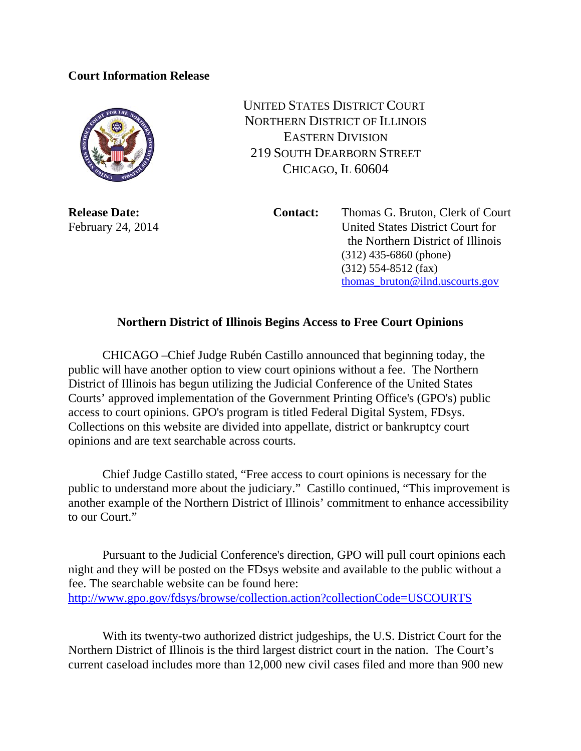## **Court Information Release**



UNITED STATES DISTRICT COURT NORTHERN DISTRICT OF ILLINOIS EASTERN DIVISION 219 SOUTH DEARBORN STREET CHICAGO, IL 60604

**Release Date:** Contact: Thomas G. Bruton, Clerk of Court February 24, 2014 United States District Court for the Northern District of Illinois (312) 435-6860 (phone) (312) 554-8512 (fax) thomas\_bruton@ilnd.uscourts.gov

## **Northern District of Illinois Begins Access to Free Court Opinions**

CHICAGO –Chief Judge Rubén Castillo announced that beginning today, the public will have another option to view court opinions without a fee. The Northern District of Illinois has begun utilizing the Judicial Conference of the United States Courts' approved implementation of the Government Printing Office's (GPO's) public access to court opinions. GPO's program is titled Federal Digital System, FDsys. Collections on this website are divided into appellate, district or bankruptcy court opinions and are text searchable across courts.

Chief Judge Castillo stated, "Free access to court opinions is necessary for the public to understand more about the judiciary." Castillo continued, "This improvement is another example of the Northern District of Illinois' commitment to enhance accessibility to our Court."

Pursuant to the Judicial Conference's direction, GPO will pull court opinions each night and they will be posted on the FDsys website and available to the public without a fee. The searchable website can be found here: http://www.gpo.gov/fdsys/browse/collection.action?collectionCode=USCOURTS

With its twenty-two authorized district judgeships, the U.S. District Court for the Northern District of Illinois is the third largest district court in the nation. The Court's current caseload includes more than 12,000 new civil cases filed and more than 900 new